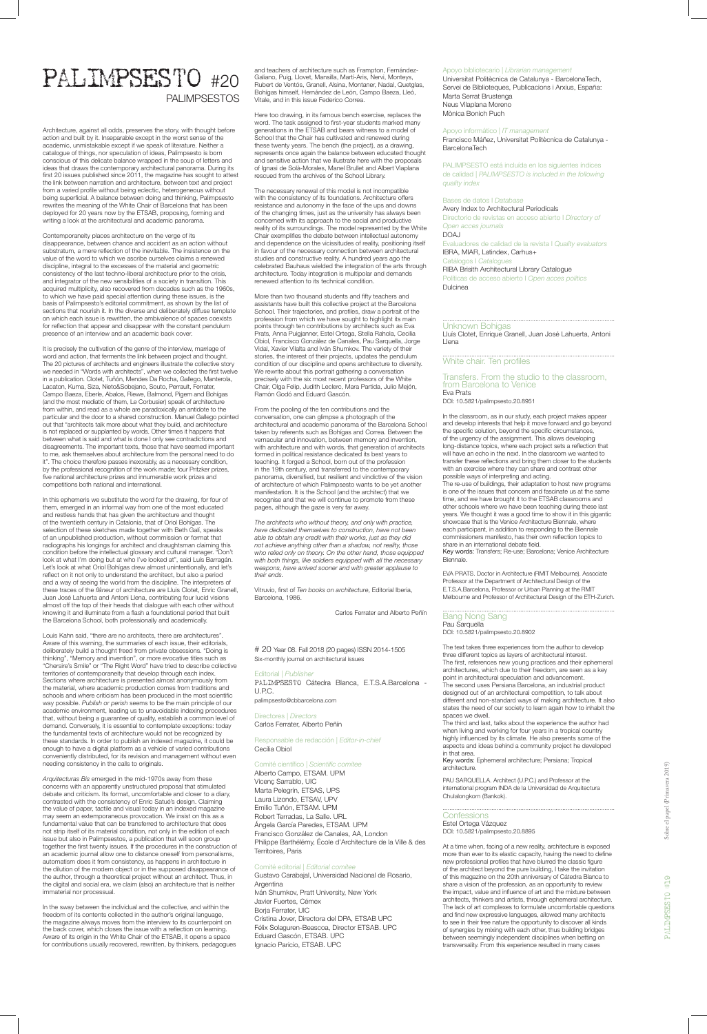# PALIMPSESTO #20 PALIMPSESTOS

Architecture, against all odds, preserves the story, with thought before action and built by it. Inseparable except in the worst sense of the academic, unmistakable except if we speak of literature. Neither a catalogue of things, nor speculation of ideas, Palimpsesto is born conscious of this delicate balance wrapped in the soup of letters and ideas that draws the contemporary architectural panorama. During its first 20 issues published since 2011, the magazine has sought to attest the link between narration and architecture, between text and project from a varied profile without being eclectic, heterogeneous without being superficial. A balance between doing and thinking, Palimpsesto rewrites the meaning of the White Chair of Barcelona that has been deployed for 20 years now by the ETSAB, proposing, forming and writing a look at the architectural and academic panorama.

Contemporaneity places architecture on the verge of its disappearance, between chance and accident as an action without substratum, a mere reflection of the inevitable. The insistence on the value of the word to which we ascribe ourselves claims a renewed discipline, integral to the excesses of the material and geometric consistency of the last techno-liberal architecture prior to the crisis, and integrator of the new sensibilities of a society in transition. This acquired multiplicity, also recovered from decades such as the 1960s, to which we have paid special attention during these issues, is the basis of Palimpsesto's editorial commitment, as shown by the list of sections that nourish it. In the diverse and deliberately diffuse template on which each issue is rewritten, the ambivalence of spaces coexists for reflection that appear and disappear with the constant pendulum presence of an interview and an academic back cover.

It is precisely the cultivation of the genre of the interview, marriage of word and action, that ferments the link between project and thought. The 20 pictures of architects and engineers illustrate the collective story we needed in "Words with architects", when we collected the first twelve in a publication. Clotet, Tuñón, Mendes Da Rocha, Gallego, Manterola, Lacaton, Kuma, Siza, Nieto&Sobejano, Souto, Perrault, Ferrater, Campo Baeza, Eberle, Abalos, Riewe, Balmond, Pigem and Bohígas (and the most mediatic of them, Le Corbusier) speak of architecture from within, and read as a whole are paradoxically an antidote to the particular and the door to a shared construction. Manuel Gallego pointed out that "architects talk more about what they build, and architecture is not replaced or supplanted by words. Other times it happens that between what is said and what is done I only see contradictions and disagreements. The important texts, those that have seemed important to me, ask themselves about architecture from the personal need to do it". The choice therefore passes inexorably, as a necessary condition, by the professional recognition of the work made; four Pritzker prizes, five national architecture prizes and innumerable work prizes and competitions both national and international.

away from these concerns with an apparently unstructured proposal that stimulated debate and criticism. Its format, uncomfortable and closer to a diary, contrasted with the consistency of Enric Satué's design. Claiming the value of paper, tactile and visual today in an indexed magazine may seem an extemporaneous provocation. We insist on this as a fundamental value that can be transferred to architecture that does not strip itself of its material condition, not only in the edition of each issue but also in Palimpsestos, a publication that will soon group together the first twenty issues. If the procedures in the construction of an academic journal allow one to distance oneself from personalisms, automatism does it from consistency, as happens in architecture in the dilution of the modern object or in the supposed disappearance of the author, through a theoretical project without an architect. Thus, in the digital and social era, we claim (also) an architecture that is neither immaterial nor processual.

In this ephemeris we substitute the word for the drawing, for four of them, emerged in an informal way from one of the most educated and restless hands that has given the architecture and thought of the twentieth century in Catalonia, that of Oriol Bohígas. The selection of these sketches made together with Beth Galí, speaks of an unpublished production, without commission or format that radiographs his longings for architect and draughtsman claiming this condition before the intellectual glossary and cultural manager. "Don't look at what I'm doing but at who I've looked at", said Luís Barragán. Let's look at what Oriol Bohígas drew almost unintentionally, and let's reflect on it not only to understand the architect, but also a period and a way of seeing the world from the discipline. The interpreters of these traces of the *flâneur* of architecture are Lluis Clotet, Enric Granell, Juan José Lahuerta and Antoni Llena, contributing four lucid visions almost off the top of their heads that dialogue with each other without knowing it and illuminate from a flash a foundational period that built the Barcelona School, both professionally and academically.

Louis Kahn said, "there are no architects, there are architectures". Aware of this warning, the summaries of each issue, their editorials, deliberately build a thought freed from private obsessions. "Doing is thinking", "Memory and invention", or more evocative titles such as "Chersire's Smile" or "The Right Word" have tried to describe collective territories of contemporaneity that develop through each index. Sections where architecture is presented almost anonymously from the material, where academic production comes from traditions and schools and where criticism has been produced in the most scientific way possible. *Publish or perish* seems to be the main principle of our academic environment, leading us to unavoidable indexing procedures that, without being a guarantee of quality, establish a common level of demand. Conversely, it is essential to contemplate exceptions: today the fundamental texts of architecture would not be recognized by these standards. In order to publish an indexed magazine, it could be enough to have a digital platform as a vehicle of varied contributions conveniently distributed, for its revision and management without even needing consistency in the calls to originals.

In the sway between the individual and the collective, and within the freedom of its contents collected in the author's original language, the magazine always moves from the interview to its counterpoint on the back cover, which closes the issue with a reflection on learning. Aware of its origin in the White Chair of the ETSAB, it opens a space for contributions usually recovered, rewritten, by thinkers, pedagogues

and teachers of architecture such as Frampton, Fernández-Galiano, Puig, Llovet, Mansilla, Martí-Aris, Nervi, Monteys, Rubert de Ventós, Granell, Alsina, Montaner, Nadal, Quetglas, Bohígas himself, Hernández de León, Campo Baeza, Lleó, Vitale, and in this issue Federico Correa.

> Pau Sarquella DOI: 10.5821/palimpsesto.20.8902

when living and working for four years in a tropical country highly influenced by its climate. He also presents some of the aspects and ideas behind a community project he developed in that area

Here too drawing, in its famous bench exercise, replaces the word. The task assigned to first-year students marked many generations in the ETSAB and bears witness to a model of School that the Chair has cultivated and renewed during these twenty years. The bench (the project), as a drawing, represents once again the balance between educated thought and sensitive action that we illustrate here with the proposals of Ignasi de Solà-Morales, Manel Brullet and Albert Viaplana rescued from the archives of the School Library.

#### ...................................................................................................... **Confessions**

The necessary renewal of this model is not incompatible with the consistency of its foundations. Architecture offers resistance and autonomy in the face of the ups and downs of the changing times, just as the university has always been concerned with its approach to the social and productive reality of its surroundings. The model represented by the White Chair exemplifies the debate between intellectual autonomy and dependence on the vicissitudes of reality, positioning itself in favour of the necessary connection between architectural studies and constructive reality. A hundred years ago the celebrated Bauhaus wielded the integration of the arts through architecture. Today integration is multipolar and demands renewed attention to its technical condition.

More than two thousand students and fifty teachers and assistants have built this collective project at the Barcelona School. Their trajectories, and profiles, draw a portrait of the profession from which we have sought to highlight its main points through ten contributions by architects such as Eva Prats, Anna Puigjanner, Estel Ortega, Stella Rahola, Cecilia Obiol, Francisco González de Canales, Pau Sarquella, Jorge Vidal, Xavier Vilalta and Iván Shumkov. The variety of their stories, the interest of their projects, updates the pendulum condition of our discipline and opens architecture to diversity. We rewrite about this portrait gathering a conversation precisely with the six most recent professors of the White Chair, Olga Felip, Judith Leclerc, Mara Partida, Julio Mejón, Ramón Godó and Eduard Gascón.

From the pooling of the ten contributions and the conversation, one can glimpse a photograph of the architectural and academic panorama of the Barcelona School taken by referents such as Bohígas and Correa. Between the vernacular and innovation, between memory and invention, with architecture and with words, that generation of architects formed in political resistance dedicated its best years to teaching. It forged a School, born out of the profession in the 19th century, and transferred to the contemporary panorama, diversified, but resilient and vindictive of the vision of architecture of which Palimpsesto wants to be yet another manifestation. It is the School (and the architect) that we recognise and that we will continue to promote from these pages, although the gaze is very far away.

*The architects who without theory, and only with practice, have dedicated themselves to construction, have not been able to obtain any credit with their works, just as they did not achieve anything other than a shadow, not reality, those who relied only on theory. On the other hand, those equipped with both things, like soldiers equipped with all the necessary weapons, have arrived sooner and with greater applause to their ends.*

Vitruvio, first of *Ten books on architecture*, Editorial Iberia, Barcelona, 1986.

Carlos Ferrater and Alberto Peñín

# 20 Year 08. Fall 2018 (20 pages) ISSN 2014-1505 Six-monthly journal on architectural issues

## Editorial | *Publisher*

PALIMPSESTO Cátedra Blanca, E.T.S.A.Barcelona - U.P.C.

palimpsesto@cbbarcelona.com

Directores | *Directors* Carlos Ferrater, Alberto Peñín

Responsable de redacción | *Editor-in-chief* Cecília Obiol

Comité científico | *Scientific comitee* Alberto Campo, ETSAM. UPM

Vicenç Sarrablo, UIC Marta Pelegrín, ETSAS, UPS Laura Lizondo, ETSAV, UPV Emilio Tuñón, ETSAM. UPM Robert Terradas, La Salle. URL Ángela García Paredes, ETSAM. UPM Francisco González de Canales, AA, London Philippe Barthélémy, École d'Architecture de la Ville & des Territoires, Paris

#### Comité editorial | *Editorial comitee*

Gustavo Carabajal, Universidad Nacional de Rosario, Argentina

Iván Shumkov, Pratt University, New York Javier Fuertes, Cémex Borja Ferrater, UIC Cristina Jover, Directora del DPA, ETSAB UPC Félix Solaguren-Beascoa, Director ETSAB. UPC Eduard Gascón, ETSAB. UPC Ignacio Paricio, ETSAB. UPC

## Apoyo bibliotecario | *Librarian management*

Universitat Politècnica de Catalunya - BarcelonaTech, Servei de Biblioteques, Publicacions i Arxius, España: Marta Serrat Brustenga Neus Vilaplana Moreno Mònica Bonich Puch

#### Apoyo informático | *IT management*

Francisco Máñez, Universitat Politècnica de Catalunya - BarcelonaTech

PALIMPSESTO está incluída en los siguientes índices de calidad | *PALIMPSESTO is included in the following quality index*

## Bases de datos I *Database*

Avery Index to Architectural Periodicals Directorio de revistas en acceso abierto I *Directory of Open acces journals* DOAJ Evaluadores de calidad de la revista I *Quality evaluators* IBRA, MIAR, Latindex, Carhus+

Catálogos I *Catalogues*

RIBA Brisith Architectural Library Catalogue Políticas de acceso abierto I *Open acces politics* Dulcinea

#### ...................................................................................................... Unknown Bohigas

Lluís Clotet, Enrique Granell, Juan José Lahuerta, Antoni Llena

#### ...................................................................................................... White chair. Ten profiles

Transfers. From the studio to the classroom, from Barcelona to Venice Eva Prats DOI: 10.5821/palimpsesto.20.8951

In the classroom, as in our study, each project makes appear and develop interests that help it move forward and go beyond the specific solution, beyond the specific circumstances, of the urgency of the assignment. This allows developing long-distance topics, where each project sets a reflection that will have an echo in the next. In the classroom we wanted to transfer these reflections and bring them closer to the students with an exercise where they can share and contrast other possible ways of interpreting and acting. The re-use of buildings, their adaptation to host new programs is one of the issues that concern and fascinate us at the same time, and we have brought it to the ETSAB classrooms and other schools where we have been teaching during these last years. We thought it was a good time to show it in this gigantic showcase that is the Venice Architecture Biennale, where

each participant, in addition to responding to the Biennale commissioners manifesto, has their own reflection topics to share in an international debate field.

Key words: Transfers; Re-use; Barcelona; Venice Architecture Biennale.

EVA PRATS. Doctor in Architecture (RMIT Melbourne). Associate Professor at the Department of Architectural Design of the E.T.S.A.Barcelona, Professor or Urban Planning at the RMIT Melbourne and Professor of Architectural Design of the ETH-Zurich.

## ...................................................................................................... Bang Nong Sang

The text takes three experiences from the author to develop three different topics as layers of architectural interest. The first, references new young practices and their ephemeral architectures, which due to their freedom, are seen as a key point in architectural speculation and advancement. The second uses Persiana Barcelona, an industrial product designed out of an architectural competition, to talk about different and non-standard ways of making architecture. It also

states the need of our society to learn again how to inhabit the spaces we dwell. The third and last, talks about the experience the author had

Key words: Ephemeral architecture; Persiana; Tropical architecture.

PAU SARQUELLA. Architect (U.P.C.) and Professor at the international program INDA de la Universidad de Arquitectura Chulalongkorn (Bankok).

Estel Ortega Vázquez DOI: 10.5821/palimpsesto.20.8895

At a time when, facing of a new reality, architecture is exposed more than ever to its elastic capacity, having the need to define new professional profiles that have blurred the classic figure of the architect beyond the pure building, I take the invitation of this magazine on the 20th anniversary of Cátedra Blanca to share a vision of the profession, as an opportunity to review the impact, value and influence of art and the mixture between architects, thinkers and artists, through ephemeral architecture. The lack of art complexes to formulate uncomfortable questions and find new expressive languages, allowed many architects to see in their free nature the opportunity to discover all kinds of synergies by mixing with each other, thus building bridges between seemingly independent disciplines when betting on transversality. From this experience resulted in many cases